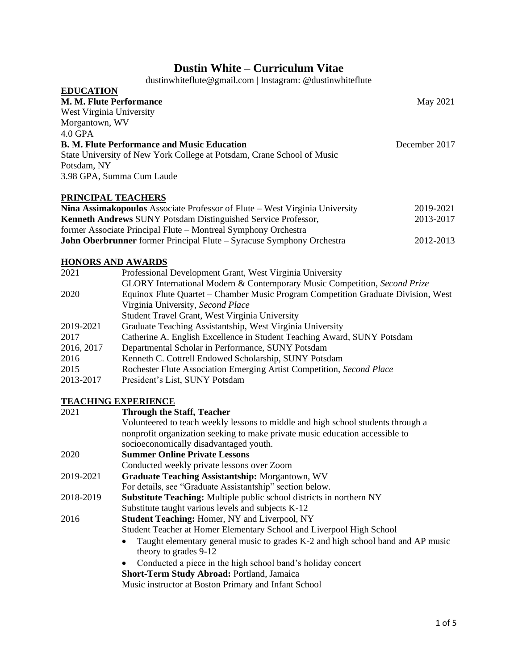# **Dustin White – Curriculum Vitae**

dustinwhiteflute@gmail.com | Instagram: @dustinwhiteflute

| <b>EDUCATION</b>                                                       |               |
|------------------------------------------------------------------------|---------------|
| <b>M. M. Flute Performance</b>                                         | May 2021      |
| West Virginia University                                               |               |
| Morgantown, WV                                                         |               |
| $4.0$ GPA                                                              |               |
| <b>B. M. Flute Performance and Music Education</b>                     | December 2017 |
| State University of New York College at Potsdam, Crane School of Music |               |
| Potsdam, NY                                                            |               |
| 3.98 GPA, Summa Cum Laude                                              |               |
|                                                                        |               |

## **PRINCIPAL TEACHERS Nina Assimakopoulos** Associate Professor of Flute – West Virginia University 2019-2021 **Kenneth Andrews** SUNY Potsdam Distinguished Service Professor, 2013-2017 former Associate Principal Flute – Montreal Symphony Orchestra **John Oberbrunner** former Principal Flute – Syracuse Symphony Orchestra 2012-2013

# **HONORS AND AWARDS**

| 2021       | Professional Development Grant, West Virginia University                          |
|------------|-----------------------------------------------------------------------------------|
|            | GLORY International Modern & Contemporary Music Competition, Second Prize         |
| 2020       | Equinox Flute Quartet – Chamber Music Program Competition Graduate Division, West |
|            | Virginia University, Second Place                                                 |
|            | Student Travel Grant, West Virginia University                                    |
| 2019-2021  | Graduate Teaching Assistantship, West Virginia University                         |
| 2017       | Catherine A. English Excellence in Student Teaching Award, SUNY Potsdam           |
| 2016, 2017 | Departmental Scholar in Performance, SUNY Potsdam                                 |
| 2016       | Kenneth C. Cottrell Endowed Scholarship, SUNY Potsdam                             |
| 2015       | Rochester Flute Association Emerging Artist Competition, Second Place             |
| 2013-2017  | President's List, SUNY Potsdam                                                    |

# **TEACHING EXPERIENCE**

| 2021      | <b>Through the Staff, Teacher</b>                                                |
|-----------|----------------------------------------------------------------------------------|
|           | Volunteered to teach weekly lessons to middle and high school students through a |
|           | nonprofit organization seeking to make private music education accessible to     |
|           | socioeconomically disadvantaged youth.                                           |
| 2020      | <b>Summer Online Private Lessons</b>                                             |
|           | Conducted weekly private lessons over Zoom                                       |
| 2019-2021 | <b>Graduate Teaching Assistantship: Morgantown, WV</b>                           |
|           | For details, see "Graduate Assistantship" section below.                         |
| 2018-2019 | <b>Substitute Teaching:</b> Multiple public school districts in northern NY      |
|           | Substitute taught various levels and subjects K-12                               |
| 2016      | <b>Student Teaching: Homer, NY and Liverpool, NY</b>                             |
|           | Student Teacher at Homer Elementary School and Liverpool High School             |
|           | Taught elementary general music to grades K-2 and high school band and AP music  |
|           | theory to grades 9-12                                                            |
|           | Conducted a piece in the high school band's holiday concert<br>$\bullet$         |
|           | <b>Short-Term Study Abroad: Portland, Jamaica</b>                                |
|           | Music instructor at Boston Primary and Infant School                             |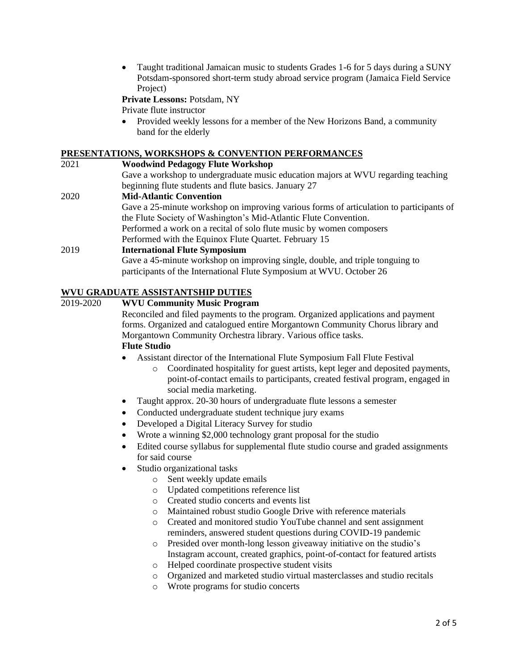• Taught traditional Jamaican music to students Grades 1-6 for 5 days during a SUNY Potsdam-sponsored short-term study abroad service program (Jamaica Field Service Project)

**Private Lessons:** Potsdam, NY

Private flute instructor

• Provided weekly lessons for a member of the New Horizons Band, a community band for the elderly

# **PRESENTATIONS, WORKSHOPS & CONVENTION PERFORMANCES**

| 2021 | <b>Woodwind Pedagogy Flute Workshop</b>                                                 |
|------|-----------------------------------------------------------------------------------------|
|      | Gave a workshop to undergraduate music education majors at WVU regarding teaching       |
|      | beginning flute students and flute basics. January 27                                   |
| 2020 | <b>Mid-Atlantic Convention</b>                                                          |
|      | Gave a 25-minute workshop on improving various forms of articulation to participants of |
|      | the Flute Society of Washington's Mid-Atlantic Flute Convention.                        |
|      | Performed a work on a recital of solo flute music by women composers                    |
|      | Performed with the Equinox Flute Quartet. February 15                                   |
| 2019 | <b>International Flute Symposium</b>                                                    |
|      | Gave a 45-minute workshop on improving single, double, and triple tonguing to           |
|      | participants of the International Flute Symposium at WVU. October 26                    |

# **WVU GRADUATE ASSISTANTSHIP DUTIES**

# 2019-2020 **WVU Community Music Program**

Reconciled and filed payments to the program. Organized applications and payment forms. Organized and catalogued entire Morgantown Community Chorus library and Morgantown Community Orchestra library. Various office tasks. **Flute Studio**

#### • Assistant director of the International Flute Symposium Fall Flute Festival

- o Coordinated hospitality for guest artists, kept leger and deposited payments, point-of-contact emails to participants, created festival program, engaged in social media marketing.
- Taught approx. 20-30 hours of undergraduate flute lessons a semester
- Conducted undergraduate student technique jury exams
- Developed a Digital Literacy Survey for studio
- Wrote a winning \$2,000 technology grant proposal for the studio
- Edited course syllabus for supplemental flute studio course and graded assignments for said course
- Studio organizational tasks
	- o Sent weekly update emails
	- o Updated competitions reference list
	- o Created studio concerts and events list
	- o Maintained robust studio Google Drive with reference materials
	- o Created and monitored studio YouTube channel and sent assignment reminders, answered student questions during COVID-19 pandemic
	- o Presided over month-long lesson giveaway initiative on the studio's Instagram account, created graphics, point-of-contact for featured artists
	- o Helped coordinate prospective student visits
	- o Organized and marketed studio virtual masterclasses and studio recitals
	- o Wrote programs for studio concerts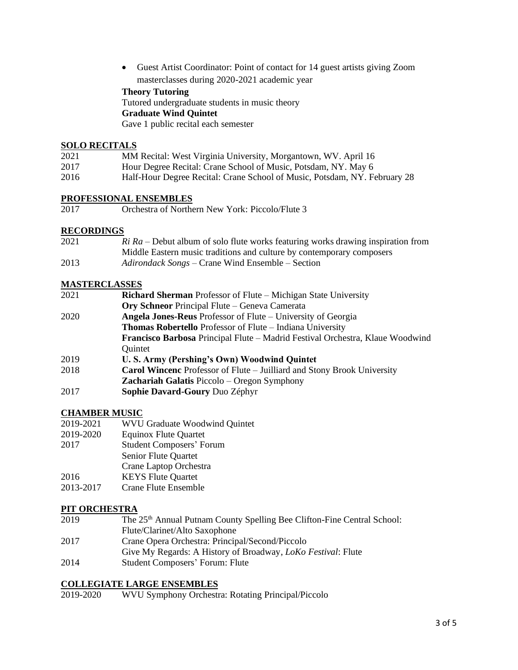• Guest Artist Coordinator: Point of contact for 14 guest artists giving Zoom masterclasses during 2020-2021 academic year

# **Theory Tutoring**

Tutored undergraduate students in music theory

#### **Graduate Wind Quintet**

Gave 1 public recital each semester

#### **SOLO RECITALS**

| 2021 | MM Recital: West Virginia University, Morgantown, WV. April 16            |
|------|---------------------------------------------------------------------------|
| 2017 | Hour Degree Recital: Crane School of Music, Potsdam, NY. May 6            |
| 2016 | Half-Hour Degree Recital: Crane School of Music, Potsdam, NY. February 28 |

#### **PROFESSIONAL ENSEMBLES**

2017 Orchestra of Northern New York: Piccolo/Flute 3

#### **RECORDINGS**

| 2021 | $Ri\ Ra$ – Debut album of solo flute works featuring works drawing inspiration from |
|------|-------------------------------------------------------------------------------------|
|      | Middle Eastern music traditions and culture by contemporary composers               |
| 2013 | Adirondack Songs – Crane Wind Ensemble – Section                                    |

#### **MASTERCLASSES**

| 2021 | <b>Richard Sherman</b> Professor of Flute – Michigan State University                |
|------|--------------------------------------------------------------------------------------|
|      | <b>Ory Schneor</b> Principal Flute – Geneva Camerata                                 |
| 2020 | Angela Jones-Reus Professor of Flute – University of Georgia                         |
|      | <b>Thomas Robertello</b> Professor of Flute – Indiana University                     |
|      | <b>Francisco Barbosa</b> Principal Flute – Madrid Festival Orchestra, Klaue Woodwind |
|      | Quintet                                                                              |
| 2019 | U. S. Army (Pershing's Own) Woodwind Quintet                                         |
| 2018 | <b>Carol Wincenc</b> Professor of Flute – Juilliard and Stony Brook University       |
|      | <b>Zachariah Galatis Piccolo – Oregon Symphony</b>                                   |

2017 **Sophie Davard-Goury** Duo Zéphyr

#### **CHAMBER MUSIC**

#### 2019-2021 WVU Graduate Woodwind Quintet

- 2019-2020 Equinox Flute Quartet
- 2017 Student Composers' Forum
- Senior Flute Quartet
- Crane Laptop Orchestra
- 2016 KEYS Flute Quartet
- 2013-2017 Crane Flute Ensemble

#### **PIT ORCHESTRA**

- 2019 The 25<sup>th</sup> Annual Putnam County Spelling Bee Clifton-Fine Central School: Flute/Clarinet/Alto Saxophone 2017 Crane Opera Orchestra: Principal/Second/Piccolo
- Give My Regards: A History of Broadway, *LoKo Festival*: Flute
- 2014 Student Composers' Forum: Flute

# **COLLEGIATE LARGE ENSEMBLES**

2019-2020 WVU Symphony Orchestra: Rotating Principal/Piccolo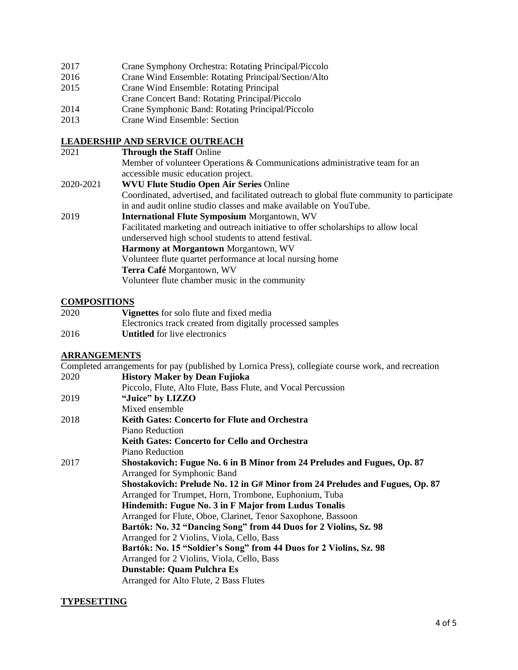- 2017 Crane Symphony Orchestra: Rotating Principal/Piccolo
- 2016 Crane Wind Ensemble: Rotating Principal/Section/Alto
- 2015 Crane Wind Ensemble: Rotating Principal
- Crane Concert Band: Rotating Principal/Piccolo
- 2014 Crane Symphonic Band: Rotating Principal/Piccolo
- 2013 Crane Wind Ensemble: Section

# **LEADERSHIP AND SERVICE OUTREACH**

| 2021      | <b>Through the Staff Online</b>                                                            |
|-----------|--------------------------------------------------------------------------------------------|
|           | Member of volunteer Operations & Communications administrative team for an                 |
|           | accessible music education project.                                                        |
| 2020-2021 | <b>WVU Flute Studio Open Air Series Online</b>                                             |
|           | Coordinated, advertised, and facilitated outreach to global flute community to participate |
|           | in and audit online studio classes and make available on YouTube.                          |
| 2019      | <b>International Flute Symposium Morgantown, WV</b>                                        |
|           | Facilitated marketing and outreach initiative to offer scholarships to allow local         |
|           | underserved high school students to attend festival.                                       |
|           | Harmony at Morgantown Morgantown, WV                                                       |
|           | Volunteer flute quartet performance at local nursing home                                  |
|           | Terra Café Morgantown, WV                                                                  |
|           | Volunteer flute chamber music in the community                                             |
|           |                                                                                            |

# **COMPOSITIONS**

| 2020 | <b>Vignettes</b> for solo flute and fixed media            |
|------|------------------------------------------------------------|
|      | Electronics track created from digitally processed samples |
| 2016 | <b>Untitled</b> for live electronics                       |

# **ARRANGEMENTS**

Completed arrangements for pay (published by Lornica Press), collegiate course work, and recreation 2020 **History Maker by Dean Fujioka**

|      | Piccolo, Flute, Alto Flute, Bass Flute, and Vocal Percussion                 |
|------|------------------------------------------------------------------------------|
| 2019 | "Juice" by LIZZO                                                             |
|      | Mixed ensemble                                                               |
| 2018 | <b>Keith Gates: Concerto for Flute and Orchestra</b>                         |
|      | Piano Reduction                                                              |
|      | Keith Gates: Concerto for Cello and Orchestra                                |
|      | Piano Reduction                                                              |
| 2017 | Shostakovich: Fugue No. 6 in B Minor from 24 Preludes and Fugues, Op. 87     |
|      | Arranged for Symphonic Band                                                  |
|      | Shostakovich: Prelude No. 12 in G# Minor from 24 Preludes and Fugues, Op. 87 |
|      | Arranged for Trumpet, Horn, Trombone, Euphonium, Tuba                        |
|      | Hindemith: Fugue No. 3 in F Major from Ludus Tonalis                         |
|      | Arranged for Flute, Oboe, Clarinet, Tenor Saxophone, Bassoon                 |
|      | Bartók: No. 32 "Dancing Song" from 44 Duos for 2 Violins, Sz. 98             |
|      | Arranged for 2 Violins, Viola, Cello, Bass                                   |
|      | Bartók: No. 15 "Soldier's Song" from 44 Duos for 2 Violins, Sz. 98           |
|      | Arranged for 2 Violins, Viola, Cello, Bass                                   |
|      | <b>Dunstable: Quam Pulchra Es</b>                                            |
|      | Arranged for Alto Flute, 2 Bass Flutes                                       |
|      |                                                                              |

#### **TYPESETTING**